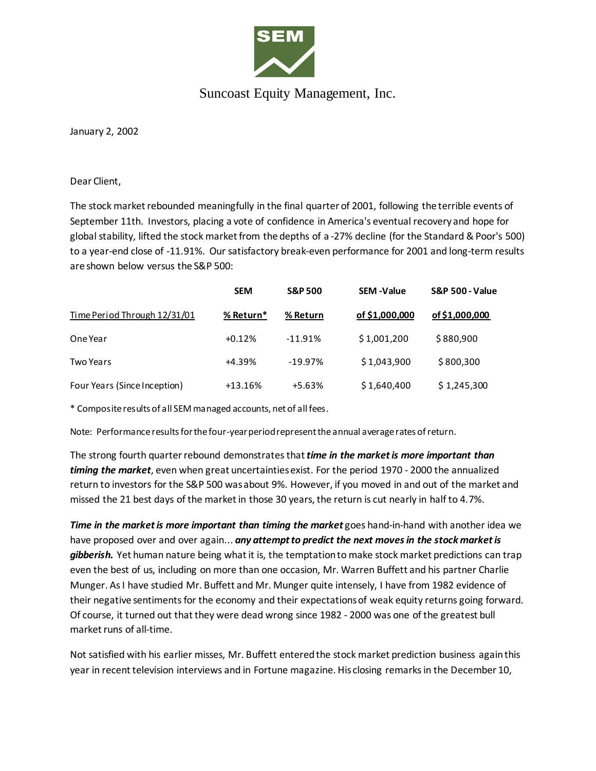

## Suncoast Equity Management, Inc.

January 2, 2002

Dear Client,

The stock market rebounded meaningfully in the final quarter of 2001, following the terrible events of September 11th. Investors, placing a vote of confidence in America's eventual recovery and hope for global stability, lifted the stock market from the depths of a -27% decline (for the Standard & Poor's 500) to a year-end close of -11.91%. Our satisfactory break-even performance for 2001 and long-term results are shown below versus the S&P 500:

|                              | <b>SEM</b> | <b>S&amp;P 500</b> | <b>SEM-Value</b> | <b>S&amp;P 500 - Value</b> |
|------------------------------|------------|--------------------|------------------|----------------------------|
| Time Period Through 12/31/01 | % Return*  | % Return           | of \$1,000,000   | of \$1,000,000             |
| One Year                     | $+0.12%$   | $-11.91%$          | \$1,001,200      | \$880,900                  |
| Two Years                    | +4.39%     | $-19.97%$          | \$1,043,900      | \$800,300                  |
| Four Years (Since Inception) | $+13.16%$  | $+5.63%$           | \$1,640,400      | \$1,245,300                |

\* Composite results of all SEM managed accounts, net of all fees.

Note: Performance results for the four-year period represent the annual average rates of return.

The strong fourth quarter rebound demonstrates that *time in the market is more important than timing the market*, even when great uncertainties exist. For the period 1970 - 2000 the annualized return to investors for the S&P 500 was about 9%. However, if you moved in and out of the market and missed the 21 best days of the market in those 30 years, the return is cut nearly in half to 4.7%.

*Time in the market is more important than timing the market* goes hand-in-hand with another idea we have proposed over and over again... *any attempt to predict the next moves in the stock market is gibberish.* Yet human nature being what it is, the temptation to make stock market predictions can trap even the best of us, including on more than one occasion, Mr. Warren Buffett and his partner Charlie Munger. As I have studied Mr. Buffett and Mr. Munger quite intensely, I have from 1982 evidence of their negative sentiments for the economy and their expectations of weak equity returns going forward. Of course, it turned out that they were dead wrong since 1982 - 2000 was one of the greatest bull market runs of all-time.

Not satisfied with his earlier misses, Mr. Buffett entered the stock market prediction business again this year in recent television interviews and in Fortune magazine. His closing remarks in the December 10,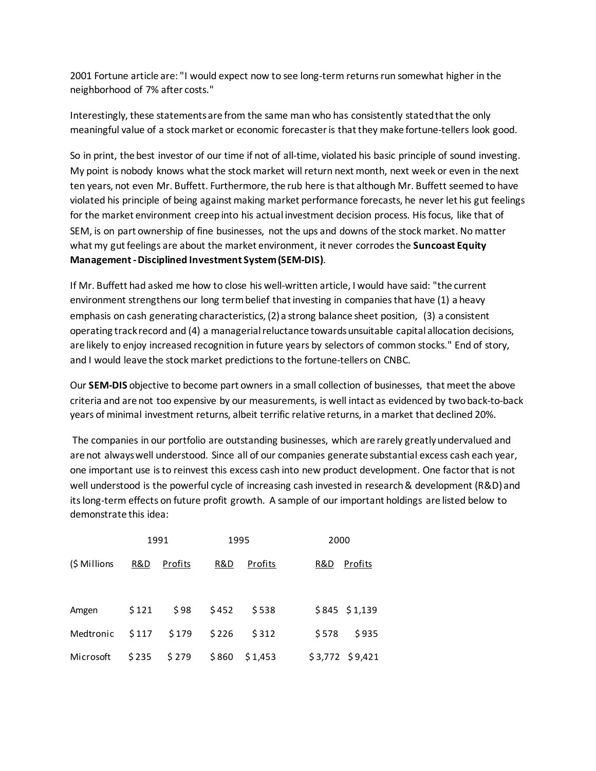2001 Fortune article are: "I would expect now to see long-term returns run somewhat higher in the neighborhood of 7% after costs."

Interestingly, these statements are from the same man who has consistently stated that the only meaningful value of a stock market or economic forecaster is that they make fortune-tellers look good.

So in print, the best investor of our time if not of all-time, violated his basic principle of sound investing. My point is nobody knows what the stock market will return next month, next week or even in the next ten years, not even Mr. Buffett. Furthermore, the rub here is that although Mr. Buffett seemed to have violated his principle of being against making market performance forecasts, he never let his gut feelings for the market environment creep into his actual investment decision process. His focus, like that of SEM, is on part ownership of fine businesses, not the ups and downs of the stock market. No matter what my gut feelings are about the market environment, it never corrodes the **Suncoast Equity Management -Disciplined Investment System (SEM-DIS)**.

If Mr. Buffett had asked me how to close his well-written article, I would have said: "the current environment strengthens our long term belief that investing in companies that have (1) a heavy emphasis on cash generating characteristics, (2) a strong balance sheet position, (3) a consistent operating track record and (4) a managerial reluctance towards unsuitable capital allocation decisions, are likely to enjoy increased recognition in future years by selectors of common stocks." End of story, and I would leave the stock market predictions to the fortune-tellers on CNBC.

Our **SEM-DIS** objective to become part owners in a small collection of businesses, that meet the above criteria and are not too expensive by our measurements, is well intact as evidenced by two back-to-back years of minimal investment returns, albeit terrific relative returns, in a market that declined 20%.

The companies in our portfolio are outstanding businesses, which are rarely greatly undervalued and are not always well understood. Since all of our companies generate substantial excess cash each year, one important use is to reinvest this excess cash into new product development. One factor that is not well understood is the powerful cycle of increasing cash invested in research & development (R&D) and its long-term effects on future profit growth. A sample of our important holdings are listed below to demonstrate this idea:

|                 |                | 1991    |       | 1995    | 2000              |  |
|-----------------|----------------|---------|-------|---------|-------------------|--|
| (\$ Millions    | <u>R&amp;D</u> | Profits | R&D   | Profits | R&D<br>Profits    |  |
| Amgen           | \$121          | \$98    | \$452 | \$538   | $$845$ $$1,139$   |  |
| Medtronic \$117 |                | \$179   | \$226 | \$312   | \$935<br>\$578    |  |
| Microsoft       | \$235          | \$279   | \$860 | \$1,453 | $$3,772$ $$9,421$ |  |